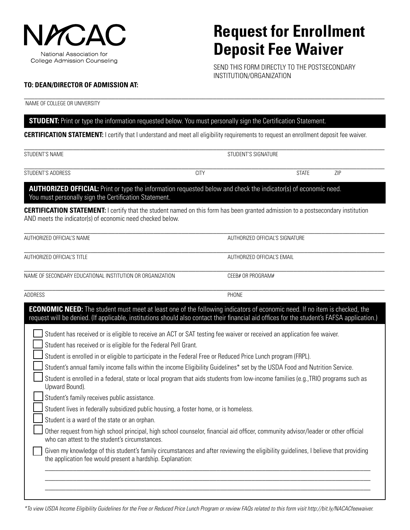

## **Request for Enrollment Deposit Fee Waiver**

SEND THIS FORM DIRECTLY TO THE POSTSECONDARY INSTITUTION/ORGANIZATION

#### **TO: DEAN/DIRECTOR OF ADMISSION AT:**

NAME OF COLLEGE OR UNIVERSITY

### **STUDENT:** Print or type the information requested below. You must personally sign the Certification Statement.

**CERTIFICATION STATEMENT:** I certify that I understand and meet all eligibility requirements to request an enrollment deposit fee waiver.

 $\_$  , and the set of the set of the set of the set of the set of the set of the set of the set of the set of the set of the set of the set of the set of the set of the set of the set of the set of the set of the set of th

| <b>STUDENT'S NAME</b>                                                                                                                                                                                                                                                           | STUDENT'S SIGNATURE |                                 |     |
|---------------------------------------------------------------------------------------------------------------------------------------------------------------------------------------------------------------------------------------------------------------------------------|---------------------|---------------------------------|-----|
| STUDENT'S ADDRESS                                                                                                                                                                                                                                                               | <b>CITY</b>         | <b>STATE</b>                    | ZIP |
| AUTHORIZED OFFICIAL: Print or type the information requested below and check the indicator(s) of economic need.<br>You must personally sign the Certification Statement.                                                                                                        |                     |                                 |     |
| <b>CERTIFICATION STATEMENT:</b> I certify that the student named on this form has been granted admission to a postsecondary institution<br>AND meets the indicator(s) of economic need checked below.                                                                           |                     |                                 |     |
| AUTHORIZED OFFICIAL'S NAME                                                                                                                                                                                                                                                      |                     | AUTHORIZED OFFICIAL'S SIGNATURE |     |
| <b>AUTHORIZED OFFICIAL'S TITLE</b>                                                                                                                                                                                                                                              |                     | AUTHORIZED OFFICIAL'S EMAIL     |     |
| NAME OF SECONDARY EDUCATIONAL INSTITUTION OR ORGANIZATION                                                                                                                                                                                                                       |                     | CEEB# OR PROGRAM#               |     |
| <b>ADDRESS</b>                                                                                                                                                                                                                                                                  | PHONE               |                                 |     |
| <b>ECONOMIC NEED:</b> The student must meet at least one of the following indicators of economic need. If no item is checked, the<br>request will be denied. (If applicable, institutions should also contact their financial aid offices for the student's FAFSA application.) |                     |                                 |     |
| Student has received or is eligible to receive an ACT or SAT testing fee waiver or received an application fee waiver.<br>Student has received or is eligible for the Federal Pell Grant.                                                                                       |                     |                                 |     |
| Student is enrolled in or eligible to participate in the Federal Free or Reduced Price Lunch program (FRPL).                                                                                                                                                                    |                     |                                 |     |
| Student's annual family income falls within the income Eligibility Guidelines* set by the USDA Food and Nutrition Service.                                                                                                                                                      |                     |                                 |     |
| Student is enrolled in a federal, state or local program that aids students from low-income families (e.g., TRIO programs such as<br>Upward Bound).                                                                                                                             |                     |                                 |     |

Student's family receives public assistance.

Student lives in federally subsidized public housing, a foster home, or is homeless.

Student is a ward of the state or an orphan.

Other request from high school principal, high school counselor, financial aid officer, community advisor/leader or other official who can attest to the student's circumstances.

Given my knowledge of this student's family circumstances and after reviewing the eligibility guidelines, I believe that providing the application fee would present a hardship. Explanation:

 $\_$  , and the set of the set of the set of the set of the set of the set of the set of the set of the set of the set of the set of the set of the set of the set of the set of the set of the set of the set of the set of th  $\_$  , and the set of the set of the set of the set of the set of the set of the set of the set of the set of the set of the set of the set of the set of the set of the set of the set of the set of the set of the set of th  $\_$  , and the set of the set of the set of the set of the set of the set of the set of the set of the set of the set of the set of the set of the set of the set of the set of the set of the set of the set of the set of th